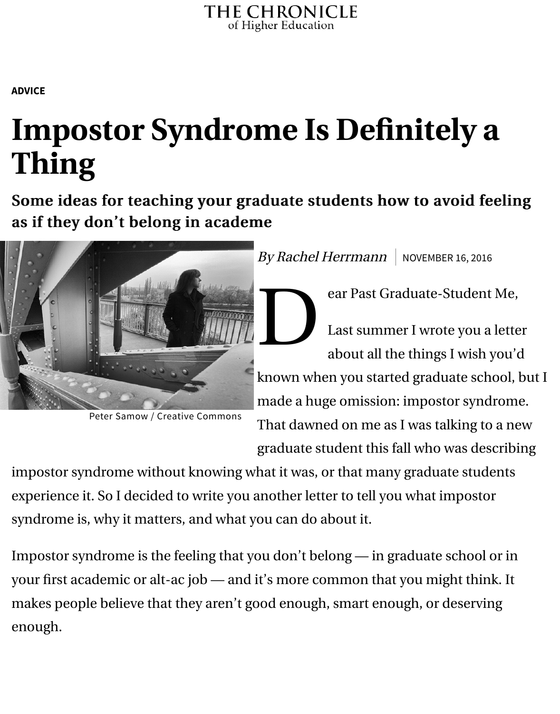## **Impostor Syn[drome Is D](http://www.chronicle.com/)efinitely Thing**

[Some](http://www.chronicle.com/section/Advice/66) ideas for teaching your graduate students how to avoi as if they don't belong in academe



Peter Samow / Creative Commons

 $By Rachel Herrmann$  NOVEMBER 16

ear Past Graduate-Stud

D Last summer I wrote you about all the things I w

known when you started graduate made a huge omission: impostor s That dawned on me as I was talkin graduate student this fall who was

impostor syndrome without knowing what it was, or that many graduate s experience it. So I decided to write you another letter to tell you what impo syndrome is, why it matters, and what you can do about it.

Impostor syndrome is the feeling that you don't belong — in graduate sch your first academic or alt-ac job — and it's more common that you might makes people believe that they aren't good enough, smart enough, or deserving enough.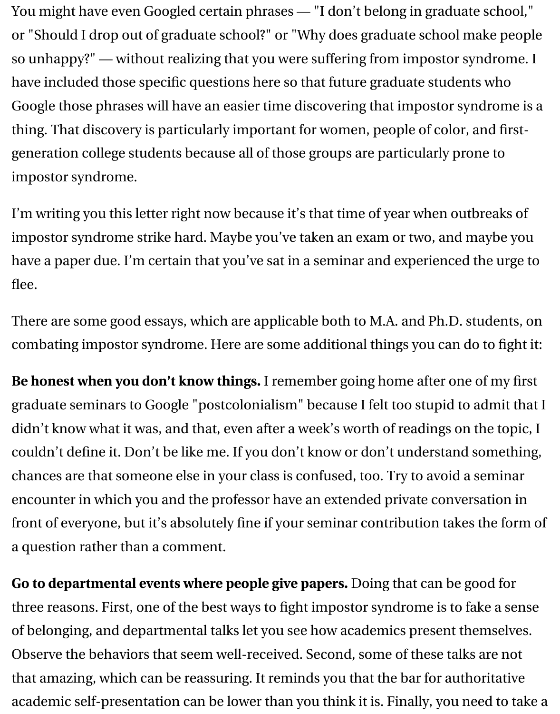Google those phrases will have an easier time discovering that impostor syndrome is a thing. That discovery is particularly important for women, people of color generation college students because all of those groups are particularly pr impostor syndrome.

I'm writing you this letter right now because it's that time of year when out impostor syndrome strike hard. Maybe you've taken an exam or two, and have a paper due. I'm certain that you've sat in a seminar and experienced flee.

There are some good essays, which are applicable both to M.A. and Ph.D. combating impostor syndrome. Here are some additional things you can o

Be honest when you don't know things. I remember going home after one graduate seminars to Google "postcolonialism" because I felt too stupid to didn't kn[ow what it w](http://www.gradhacker.org/2011/09/02/banishing-impostor-syndrome)[as, and](https://chroniclevitae.com/news/412-faking-it-women-academia-and-impostor-syndrome) that, even after a week's worth of readings or couldn't define it. Don't be like me. If you don't know or don't understand chances are that someone else in your class is confused, too. Try to avoid a encounter in which you and the professor have an extended private conversation front of everyone, but it's absolutely fine if your seminar contribution take a question rather than a comment.

**Go to departmental events where people give papers.** Doing that can be three reasons. First, one of the best ways to fight impostor syndrome is to of belonging, and departmental talks let you see how academics present tl Observe the behaviors that seem well-received. Second, some of these tall that amazing, which can be reassuring. It reminds you that the bar for authoritative academic self-presentation can be lower than you think it is. Finally, you n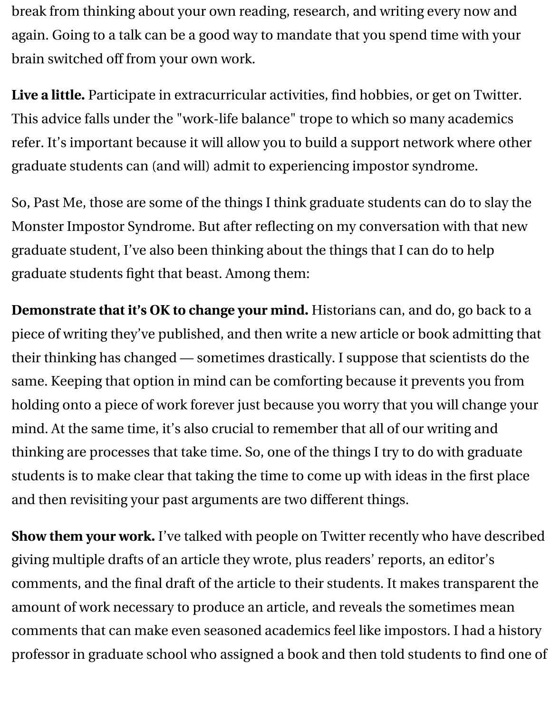break from thinking about your own reading, research, and writing every now and again. Going to a talk can be a good way to mandate that you spend time with your brain switched off from your own work.

**Live a little.** Participate in extracurricular activities, find hobbies, or get on Twitter. This advice falls under the "work-life balance" trope to which so many academics refer. It's important because it will allow you to build a support network where other graduate students can (and will) admit to experiencing impostor syndrome.

So, Past Me, those are some of the things I think graduate students can do to slay the Monster Impostor Syndrome. But after reflecting on my conversation with that new graduate student, I've also been thinking about the things that I can do to help graduate students fight that beast. Among them:

**Demonstrate that it's OK to change your mind.** Historians can, and do, go back to a piece of writing they've published, and then write a new article or book admitting that their thinking has changed — sometimes drastically. I suppose that scientists do the same. Keeping that option in mind can be comforting because it prevents you from holding onto a piece of work forever just because you worry that you will change your mind. At the same time, it's also crucial to remember that all of our writing and thinking are processes that take time. So, one of the things I try to do with graduate students is to make clear that taking the time to come up with ideas in the first place and then revisiting your past arguments are two different things.

**Show them your work.** I've talked with people on Twitter recently who have described giving multiple drafts of an article they wrote, plus readers' reports, an editor's comments, and the final draft of the article to their students. It makes transparent the amount of work necessary to produce an article, and reveals the sometimes mean comments that can make even seasoned academics feel like impostors. I had a history professor in graduate school who assigned a book and then told students to find one of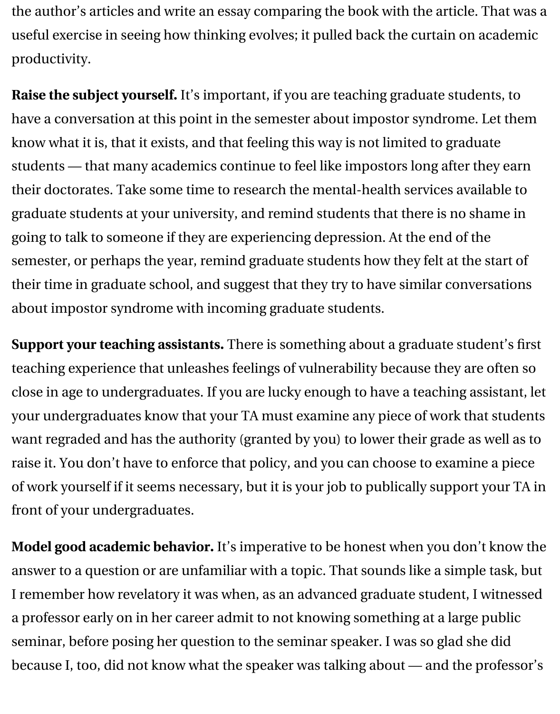have a conversation at this point in the semester about impostor syndrom know what it is, that it exists, and that feeling this way is not limited to gra students - that many academics continue to feel like impostors long after their doctorates. Take some time to research the mental-health services av graduate students at your university, and remind students that there is no going to talk to someone if they are experiencing depression. At the end of semester, or perhaps the year, remind graduate students how they felt at t their time in graduate school, an[d suggest that they try to have si](http://www.chronicle.com/article/An-Academic-With-Impostor/138231/)milar con about impostor syndrome with incoming graduate students.

**Support your teaching assistants.** There is something about a graduate st teaching experience that unleashes feelings of vulnerability because they a close in age to undergraduates. If you are lucky enough to have a teaching your undergraduates know that your TA must examine any piece of work to want regraded and has the authority (granted by you) to lower their grade raise it. You don't have to enforce that policy, and you can choose to exam of work yourself if it seems necessary, but it is your job to publically support front of your undergraduates.

Model good academic behavior. It's imperative to be honest when you do answer to a question or are unfamiliar with a topic. That sounds like a sim I remember how revelatory it was when, as an advanced graduate student a professor early on in her career admit to not knowing something at a large seminar, before posing her question to the seminar speaker. I was so glad because I, too, did not know what the speaker was talking about - and th